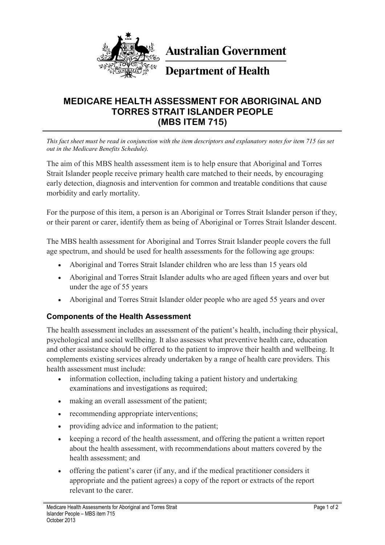

**Australian Government** 

# **Department of Health**

# **MEDICARE HEALTH ASSESSMENT FOR ABORIGINAL AND TORRES STRAIT ISLANDER PEOPLE (MBS ITEM 715)**

*This fact sheet must be read in conjunction with the item descriptors and explanatory notes for item 715 (as set out in the Medicare Benefits Schedule).*

The aim of this MBS health assessment item is to help ensure that Aboriginal and Torres Strait Islander people receive primary health care matched to their needs, by encouraging early detection, diagnosis and intervention for common and treatable conditions that cause morbidity and early mortality.

For the purpose of this item, a person is an Aboriginal or Torres Strait Islander person if they, or their parent or carer, identify them as being of Aboriginal or Torres Strait Islander descent.

The MBS health assessment for Aboriginal and Torres Strait Islander people covers the full age spectrum, and should be used for health assessments for the following age groups:

- Aboriginal and Torres Strait Islander children who are less than 15 years old
- Aboriginal and Torres Strait Islander adults who are aged fifteen years and over but under the age of 55 years
- Aboriginal and Torres Strait Islander older people who are aged 55 years and over

#### **Components of the Health Assessment**

The health assessment includes an assessment of the patient's health, including their physical, psychological and social wellbeing. It also assesses what preventive health care, education and other assistance should be offered to the patient to improve their health and wellbeing. It complements existing services already undertaken by a range of health care providers. This health assessment must include:

- information collection, including taking a patient history and undertaking examinations and investigations as required;
- making an overall assessment of the patient;
- recommending appropriate interventions;
- providing advice and information to the patient;
- keeping a record of the health assessment, and offering the patient a written report about the health assessment, with recommendations about matters covered by the health assessment; and
- offering the patient's carer (if any, and if the medical practitioner considers it appropriate and the patient agrees) a copy of the report or extracts of the report relevant to the carer.